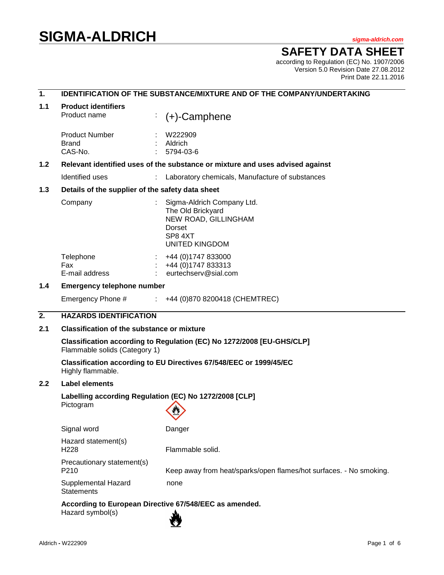# **SIGMA-ALDRICH** *sigma-aldrich.com*

## **SAFETY DATA SHEET**

according to Regulation (EC) No. 1907/2006 Version 5.0 Revision Date 27.08.2012 Print Date 22.11.2016

| 1.               | <b>IDENTIFICATION OF THE SUBSTANCE/MIXTURE AND OF THE COMPANY/UNDERTAKING</b>                          |                                                                                                                       |  |  |
|------------------|--------------------------------------------------------------------------------------------------------|-----------------------------------------------------------------------------------------------------------------------|--|--|
| 1.1              | <b>Product identifiers</b><br>Product name                                                             | $(+)$ -Camphene                                                                                                       |  |  |
|                  | <b>Product Number</b><br><b>Brand</b><br>CAS-No.                                                       | W222909<br>Aldrich<br>5794-03-6                                                                                       |  |  |
| 1.2              | Relevant identified uses of the substance or mixture and uses advised against                          |                                                                                                                       |  |  |
|                  | Identified uses                                                                                        | Laboratory chemicals, Manufacture of substances                                                                       |  |  |
| 1.3              | Details of the supplier of the safety data sheet                                                       |                                                                                                                       |  |  |
|                  | Company                                                                                                | Sigma-Aldrich Company Ltd.<br>The Old Brickyard<br>NEW ROAD, GILLINGHAM<br>Dorset<br>SP8 4XT<br><b>UNITED KINGDOM</b> |  |  |
|                  | Telephone<br>Fax<br>E-mail address                                                                     | +44 (0)1747 833000<br>+44 (0) 1747 833313<br>eurtechserv@sial.com                                                     |  |  |
| 1.4              | <b>Emergency telephone number</b>                                                                      |                                                                                                                       |  |  |
|                  | Emergency Phone #                                                                                      | $\div$ +44 (0)870 8200418 (CHEMTREC)                                                                                  |  |  |
| $\overline{2}$ . | <b>HAZARDS IDENTIFICATION</b>                                                                          |                                                                                                                       |  |  |
| 2.1              | <b>Classification of the substance or mixture</b>                                                      |                                                                                                                       |  |  |
|                  | Classification according to Regulation (EC) No 1272/2008 [EU-GHS/CLP]<br>Flammable solids (Category 1) |                                                                                                                       |  |  |
|                  | Highly flammable.                                                                                      | Classification according to EU Directives 67/548/EEC or 1999/45/EC                                                    |  |  |
| 2.2              | <b>Label elements</b>                                                                                  |                                                                                                                       |  |  |
|                  | Labelling according Regulation (EC) No 1272/2008 [CLP]<br>Pictogram                                    | <b>AND</b>                                                                                                            |  |  |
|                  | Signal word                                                                                            | Danger                                                                                                                |  |  |
|                  | Hazard statement(s)<br>H228                                                                            | Flammable solid.                                                                                                      |  |  |
|                  | Precautionary statement(s)<br>P <sub>210</sub>                                                         | Keep away from heat/sparks/open flames/hot surfaces. - No smoking.                                                    |  |  |
|                  | Supplemental Hazard<br><b>Statements</b>                                                               | none                                                                                                                  |  |  |
|                  | Hazard symbol(s)                                                                                       | According to European Directive 67/548/EEC as amended.                                                                |  |  |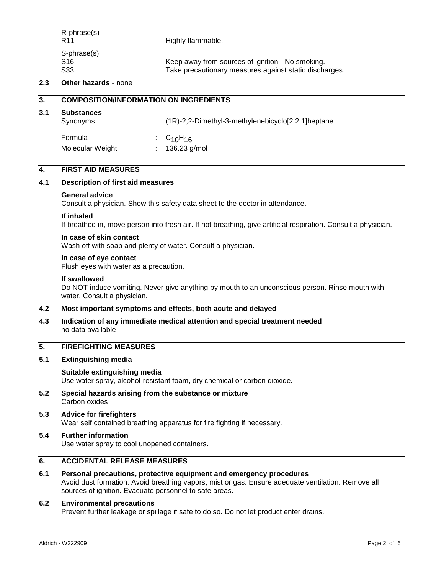| R-phrase(s)<br><b>R11</b>                         | Highly flammable.                                                                                          |
|---------------------------------------------------|------------------------------------------------------------------------------------------------------------|
| S-phrase(s)<br>S <sub>16</sub><br>S <sub>33</sub> | Keep away from sources of ignition - No smoking.<br>Take precautionary measures against static discharges. |

#### **2.3 Other hazards** - none

|      | <b>COMPOSITION/INFORMATION ON INGREDIENTS</b> |  |                                                      |
|------|-----------------------------------------------|--|------------------------------------------------------|
| -3.1 | <b>Substances</b><br>Synonyms                 |  | $(1R)-2,2-Dimethyl-3-methylenebicyclo[2.2.1]heptane$ |

| Formula          | : $C_{10}H_{16}$ |
|------------------|------------------|
| Molecular Weight | : $136.23$ g/mol |

## **4. FIRST AID MEASURES**

#### **4.1 Description of first aid measures**

#### **General advice**

Consult a physician. Show this safety data sheet to the doctor in attendance.

#### **If inhaled**

If breathed in, move person into fresh air. If not breathing, give artificial respiration. Consult a physician.

#### **In case of skin contact**

Wash off with soap and plenty of water. Consult a physician.

#### **In case of eye contact**

Flush eyes with water as a precaution.

#### **If swallowed**

Do NOT induce vomiting. Never give anything by mouth to an unconscious person. Rinse mouth with water. Consult a physician.

#### **4.2 Most important symptoms and effects, both acute and delayed**

**4.3 Indication of any immediate medical attention and special treatment needed** no data available

## **5. FIREFIGHTING MEASURES**

**5.1 Extinguishing media**

#### **Suitable extinguishing media**

Use water spray, alcohol-resistant foam, dry chemical or carbon dioxide.

**5.2 Special hazards arising from the substance or mixture** Carbon oxides

#### **5.3 Advice for firefighters** Wear self contained breathing apparatus for fire fighting if necessary.

#### **5.4 Further information** Use water spray to cool unopened containers.

#### **6. ACCIDENTAL RELEASE MEASURES**

**6.1 Personal precautions, protective equipment and emergency procedures** Avoid dust formation. Avoid breathing vapors, mist or gas. Ensure adequate ventilation. Remove all sources of ignition. Evacuate personnel to safe areas.

#### **6.2 Environmental precautions**

Prevent further leakage or spillage if safe to do so. Do not let product enter drains.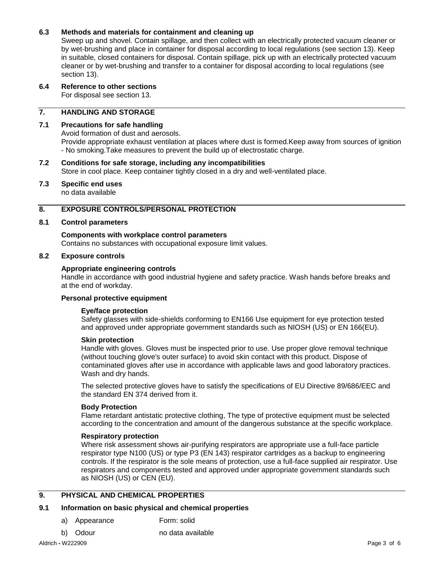#### **6.3 Methods and materials for containment and cleaning up**

Sweep up and shovel. Contain spillage, and then collect with an electrically protected vacuum cleaner or by wet-brushing and place in container for disposal according to local regulations (see section 13). Keep in suitable, closed containers for disposal. Contain spillage, pick up with an electrically protected vacuum cleaner or by wet-brushing and transfer to a container for disposal according to local regulations (see section 13).

#### **6.4 Reference to other sections**

For disposal see section 13.

#### **7. HANDLING AND STORAGE**

#### **7.1 Precautions for safe handling**

Avoid formation of dust and aerosols.

Provide appropriate exhaust ventilation at places where dust is formed.Keep away from sources of ignition - No smoking.Take measures to prevent the build up of electrostatic charge.

#### **7.2 Conditions for safe storage, including any incompatibilities** Store in cool place. Keep container tightly closed in a dry and well-ventilated place.

## **7.3 Specific end uses**

no data available

#### **8. EXPOSURE CONTROLS/PERSONAL PROTECTION**

#### **8.1 Control parameters**

## **Components with workplace control parameters**

Contains no substances with occupational exposure limit values.

#### **8.2 Exposure controls**

#### **Appropriate engineering controls**

Handle in accordance with good industrial hygiene and safety practice. Wash hands before breaks and at the end of workday.

#### **Personal protective equipment**

#### **Eye/face protection**

Safety glasses with side-shields conforming to EN166 Use equipment for eye protection tested and approved under appropriate government standards such as NIOSH (US) or EN 166(EU).

#### **Skin protection**

Handle with gloves. Gloves must be inspected prior to use. Use proper glove removal technique (without touching glove's outer surface) to avoid skin contact with this product. Dispose of contaminated gloves after use in accordance with applicable laws and good laboratory practices. Wash and dry hands.

The selected protective gloves have to satisfy the specifications of EU Directive 89/686/EEC and the standard EN 374 derived from it.

#### **Body Protection**

Flame retardant antistatic protective clothing, The type of protective equipment must be selected according to the concentration and amount of the dangerous substance at the specific workplace.

#### **Respiratory protection**

Where risk assessment shows air-purifying respirators are appropriate use a full-face particle respirator type N100 (US) or type P3 (EN 143) respirator cartridges as a backup to engineering controls. If the respirator is the sole means of protection, use a full-face supplied air respirator. Use respirators and components tested and approved under appropriate government standards such as NIOSH (US) or CEN (EU).

#### **9. PHYSICAL AND CHEMICAL PROPERTIES**

#### **9.1 Information on basic physical and chemical properties**

- a) Appearance Form: solid
- b) Odour no data available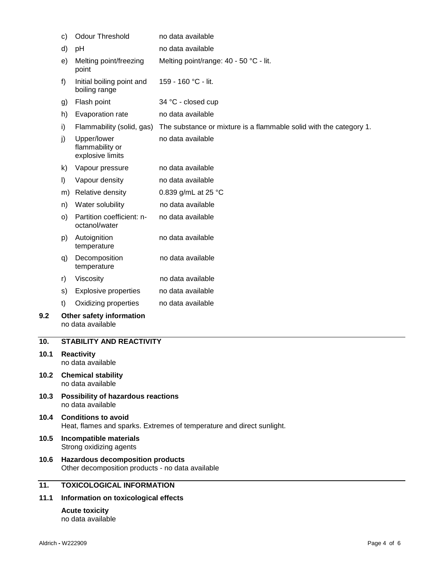| 11.1 | Information on toxicological effects                                                                |                                                    |                                                                    |  |  |
|------|-----------------------------------------------------------------------------------------------------|----------------------------------------------------|--------------------------------------------------------------------|--|--|
| 11.  | <b>TOXICOLOGICAL INFORMATION</b>                                                                    |                                                    |                                                                    |  |  |
| 10.6 | <b>Hazardous decomposition products</b><br>Other decomposition products - no data available         |                                                    |                                                                    |  |  |
| 10.5 | Incompatible materials<br>Strong oxidizing agents                                                   |                                                    |                                                                    |  |  |
| 10.4 | <b>Conditions to avoid</b><br>Heat, flames and sparks. Extremes of temperature and direct sunlight. |                                                    |                                                                    |  |  |
| 10.3 | Possibility of hazardous reactions<br>no data available                                             |                                                    |                                                                    |  |  |
| 10.2 | <b>Chemical stability</b><br>no data available                                                      |                                                    |                                                                    |  |  |
| 10.1 | <b>Reactivity</b><br>no data available                                                              |                                                    |                                                                    |  |  |
| 10.  |                                                                                                     | <b>STABILITY AND REACTIVITY</b>                    |                                                                    |  |  |
| 9.2  | Other safety information<br>no data available                                                       |                                                    |                                                                    |  |  |
|      | t)                                                                                                  | Oxidizing properties                               | no data available                                                  |  |  |
|      | s)                                                                                                  | <b>Explosive properties</b>                        | no data available                                                  |  |  |
|      | r)                                                                                                  | Viscosity                                          | no data available                                                  |  |  |
|      | q)                                                                                                  | Decomposition<br>temperature                       | no data available                                                  |  |  |
|      | p)                                                                                                  | Autoignition<br>temperature                        | no data available                                                  |  |  |
|      | O)                                                                                                  | Partition coefficient: n-<br>octanol/water         | no data available                                                  |  |  |
|      | n)                                                                                                  | Water solubility                                   | no data available                                                  |  |  |
|      | m)                                                                                                  | Relative density                                   | 0.839 g/mL at 25 °C                                                |  |  |
|      | $\vert$                                                                                             | Vapour density                                     | no data available                                                  |  |  |
|      | k)                                                                                                  | Vapour pressure                                    | no data available                                                  |  |  |
|      | j)                                                                                                  | Upper/lower<br>flammability or<br>explosive limits | no data available                                                  |  |  |
|      | i)                                                                                                  | Flammability (solid, gas)                          | The substance or mixture is a flammable solid with the category 1. |  |  |
|      | h)                                                                                                  | Evaporation rate                                   | no data available                                                  |  |  |
|      | g)                                                                                                  | Flash point                                        | 34 °C - closed cup                                                 |  |  |
|      | f)                                                                                                  | Initial boiling point and<br>boiling range         | 159 - 160 °C - lit.                                                |  |  |
|      | e)                                                                                                  | Melting point/freezing<br>point                    | Melting point/range: 40 - 50 °C - lit.                             |  |  |
|      | d)<br>pH                                                                                            |                                                    | no data available                                                  |  |  |
|      | C)                                                                                                  | <b>Odour Threshold</b>                             | no data available                                                  |  |  |

#### **Acute toxicity** no data available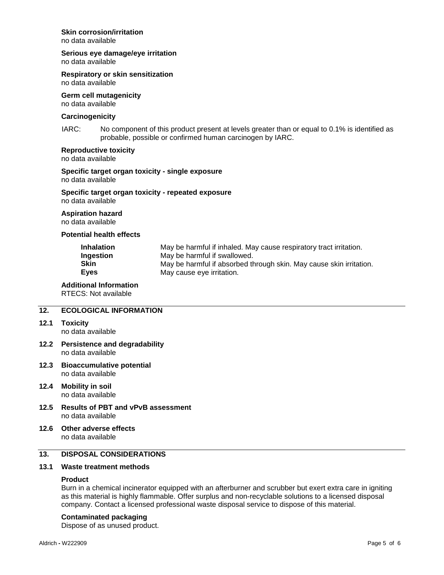#### **Skin corrosion/irritation**

no data available

## **Serious eye damage/eye irritation**

no data available

## **Respiratory or skin sensitization**

no data available

#### **Germ cell mutagenicity** no data available

#### **Carcinogenicity**

IARC: No component of this product present at levels greater than or equal to 0.1% is identified as probable, possible or confirmed human carcinogen by IARC.

#### **Reproductive toxicity**

no data available

#### **Specific target organ toxicity - single exposure** no data available

#### **Specific target organ toxicity - repeated exposure** no data available

#### **Aspiration hazard**

no data available

#### **Potential health effects**

| <b>Inhalation</b> | May be harmful if inhaled. May cause respiratory tract irritation.  |
|-------------------|---------------------------------------------------------------------|
| Ingestion         | May be harmful if swallowed.                                        |
| Skin              | May be harmful if absorbed through skin. May cause skin irritation. |
| <b>Eyes</b>       | May cause eye irritation.                                           |

#### **Additional Information**

RTECS: Not available

#### **12. ECOLOGICAL INFORMATION**

**12.1 Toxicity**

no data available

- **12.2 Persistence and degradability** no data available
- **12.3 Bioaccumulative potential** no data available
- **12.4 Mobility in soil** no data available
- **12.5 Results of PBT and vPvB assessment** no data available
- **12.6 Other adverse effects** no data available

#### **13. DISPOSAL CONSIDERATIONS**

#### **13.1 Waste treatment methods**

#### **Product**

Burn in a chemical incinerator equipped with an afterburner and scrubber but exert extra care in igniting as this material is highly flammable. Offer surplus and non-recyclable solutions to a licensed disposal company. Contact a licensed professional waste disposal service to dispose of this material.

#### **Contaminated packaging**

Dispose of as unused product.